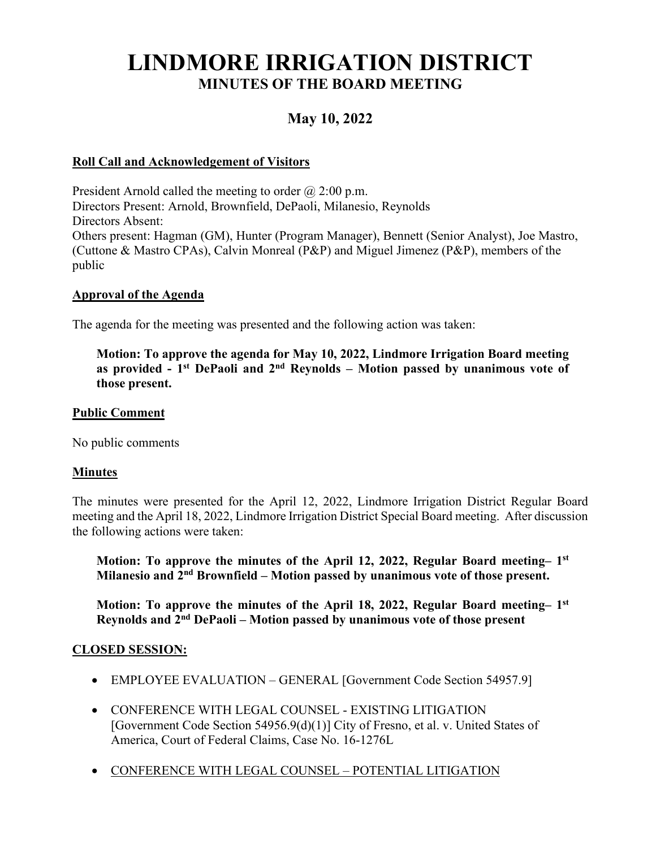# **LINDMORE IRRIGATION DISTRICT MINUTES OF THE BOARD MEETING**

# **May 10, 2022**

# **Roll Call and Acknowledgement of Visitors**

President Arnold called the meeting to order  $\omega$  2:00 p.m. Directors Present: Arnold, Brownfield, DePaoli, Milanesio, Reynolds Directors Absent: Others present: Hagman (GM), Hunter (Program Manager), Bennett (Senior Analyst), Joe Mastro, (Cuttone & Mastro CPAs), Calvin Monreal (P&P) and Miguel Jimenez (P&P), members of the public

#### **Approval of the Agenda**

The agenda for the meeting was presented and the following action was taken:

**Motion: To approve the agenda for May 10, 2022, Lindmore Irrigation Board meeting as provided - 1st DePaoli and 2nd Reynolds – Motion passed by unanimous vote of those present.**

#### **Public Comment**

No public comments

#### **Minutes**

The minutes were presented for the April 12, 2022, Lindmore Irrigation District Regular Board meeting and the April 18, 2022, Lindmore Irrigation District Special Board meeting. After discussion the following actions were taken:

**Motion: To approve the minutes of the April 12, 2022, Regular Board meeting– 1st Milanesio and 2nd Brownfield – Motion passed by unanimous vote of those present.**

**Motion: To approve the minutes of the April 18, 2022, Regular Board meeting– 1st Reynolds and 2nd DePaoli – Motion passed by unanimous vote of those present** 

#### **CLOSED SESSION:**

- EMPLOYEE EVALUATION GENERAL [Government Code Section 54957.9]
- CONFERENCE WITH LEGAL COUNSEL EXISTING LITIGATION [Government Code Section 54956.9(d)(1)] City of Fresno, et al. v. United States of America, Court of Federal Claims, Case No. 16-1276L
- CONFERENCE WITH LEGAL COUNSEL POTENTIAL LITIGATION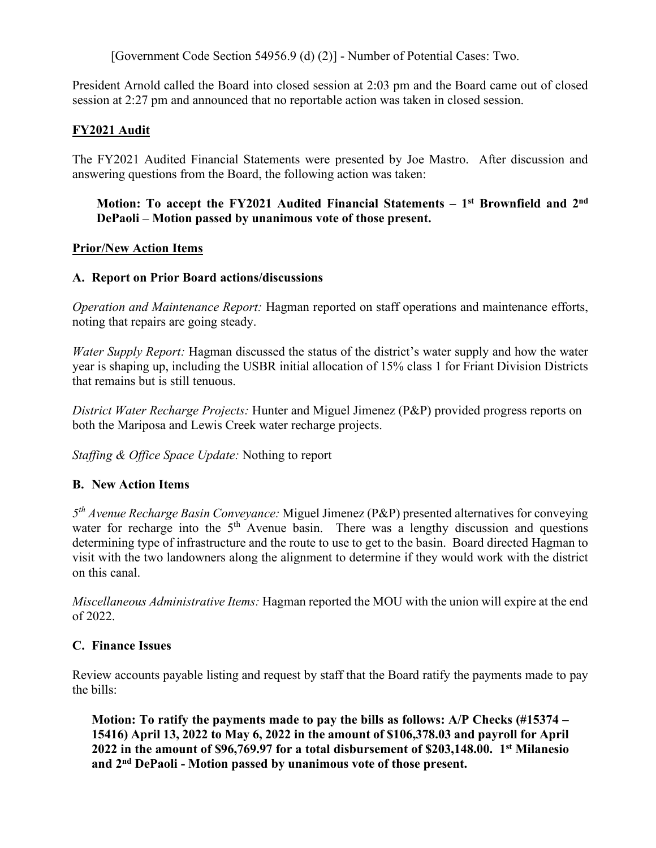[Government Code Section 54956.9 (d) (2)] - Number of Potential Cases: Two.

President Arnold called the Board into closed session at 2:03 pm and the Board came out of closed session at 2:27 pm and announced that no reportable action was taken in closed session.

# **FY2021 Audit**

The FY2021 Audited Financial Statements were presented by Joe Mastro. After discussion and answering questions from the Board, the following action was taken:

### **Motion: To accept the FY2021 Audited Financial Statements – 1st Brownfield and 2nd DePaoli – Motion passed by unanimous vote of those present.**

#### **Prior/New Action Items**

# **A. Report on Prior Board actions/discussions**

*Operation and Maintenance Report:* Hagman reported on staff operations and maintenance efforts, noting that repairs are going steady.

*Water Supply Report:* Hagman discussed the status of the district's water supply and how the water year is shaping up, including the USBR initial allocation of 15% class 1 for Friant Division Districts that remains but is still tenuous.

*District Water Recharge Projects:* Hunter and Miguel Jimenez (P&P) provided progress reports on both the Mariposa and Lewis Creek water recharge projects.

*Staffing & Office Space Update:* Nothing to report

# **B. New Action Items**

*5th Avenue Recharge Basin Conveyance:* Miguel Jimenez (P&P) presented alternatives for conveying water for recharge into the  $5<sup>th</sup>$  Avenue basin. There was a lengthy discussion and questions determining type of infrastructure and the route to use to get to the basin. Board directed Hagman to visit with the two landowners along the alignment to determine if they would work with the district on this canal.

*Miscellaneous Administrative Items:* Hagman reported the MOU with the union will expire at the end of 2022.

# **C. Finance Issues**

Review accounts payable listing and request by staff that the Board ratify the payments made to pay the bills:

**Motion: To ratify the payments made to pay the bills as follows: A/P Checks (#15374 – 15416) April 13, 2022 to May 6, 2022 in the amount of \$106,378.03 and payroll for April 2022 in the amount of \$96,769.97 for a total disbursement of \$203,148.00. 1st Milanesio and 2nd DePaoli - Motion passed by unanimous vote of those present.**